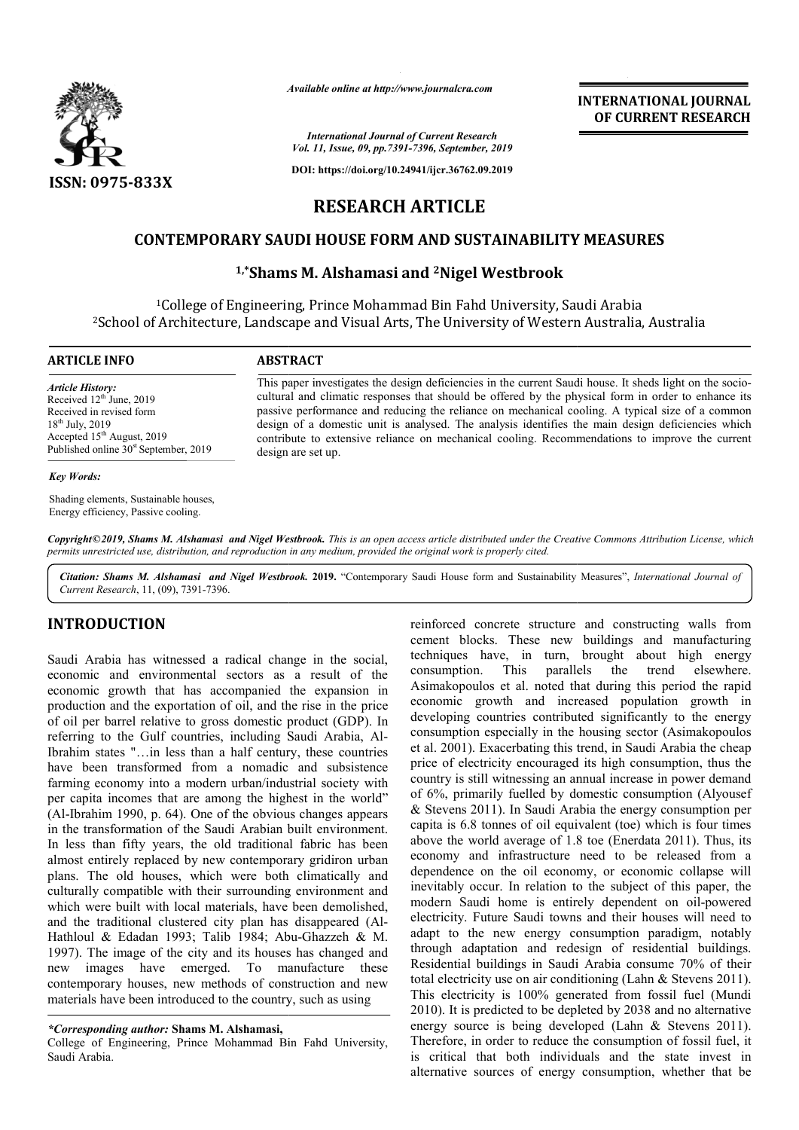

*Available online at http://www.journalcra.com*

*International Journal of Current Research Vol. 11, Issue, 09, pp.7391-7396, September, 2019*

**DOI: https://doi.org/10.24941/ijcr.36762.09.2019**

# **INTERNATIONAL JOURNAL OF CURRENT RESEARCH**

# **RESEARCH ARTICLE**

## **CONTEMPORARY SAUDI HOUSE FORM AND SUSTAINABILITY MEASURES CONTEMPORARY SAUDI AND SUSTAINABILITY**

# <sup>1,\*</sup>Shams M. Alshamasi and <sup>2</sup>Nigel Westbrook

1College of Engineering, Prince Mohammad Bin Fahd University, Saudi Arabia <sup>1</sup>College of Engineering, Prince Mohammad Bin Fahd University, Saudi Arabia<br>School of Architecture, Landscape and Visual Arts, The University of Western Australia, Australia<sup>2</sup>

#### **ARTICLE INFO ABSTRACT**

*Article History:* Received 12<sup>th</sup> June, 2019 Received in revised form 18<sup>th</sup> July, 2019 Accepted 15<sup>th</sup> August, 2019 Published online 30<sup>st</sup> September, 2019

This paper investigates the design deficiencies in the current Saudi house. It sheds light on the sociocultural and climatic responses that should be offered by the physical form in order to enhance its passive performance and reducing the reliance on mechanical cooling. A typical size of a common design of a domestic unit is analysed. The analysis identifies the main design deficiencies which cultural and climatic responses that should be offered by the physical form in order to enhance its passive performance and reducing the reliance on mechanical cooling. A typical size of a common design of a domestic unit design are set up.

#### *Key Words:*

Shading elements, Sustainable houses, Energy efficiency, Passive cooling.

Copyright©2019, Shams M. Alshamasi and Nigel Westbrook. This is an open access article distributed under the Creative Commons Attribution License, which permits unrestricted use, distribution, and reproduction in any medium, provided the original work is properly cited.

Citation: Shams M. Alshamasi and Nigel Westbrook. 2019. "Contemporary Saudi House form and Sustainability Measures", *International Journal of Current Research*, 11, (09), 7391-7396.

### **INTRODUCTION**

Saudi Arabia has witnessed a radical change in the social, economic and environmental sectors as a result of the economic growth that has accompanied the expansion in production and the exportation of oil, and the rise in the price of oil per barrel relative to gross domestic product (GDP). In of oil per barrel relative to gross domestic product (GDP). In<br>referring to the Gulf countries, including Saudi Arabia, Al-Ibrahim states "…in less than a half century, these countries have been transformed from a nomadic and subsistence farming economy into a modern urban/industrial society with per capita incomes that are among the highest in the world" (Al-Ibrahim 1990, p. 64). One of the obvious changes appears in the transformation of the Saudi Arabian built environment. In less than fifty years, the old traditional fabric has been almost entirely replaced by new contemporary gridiron urban plans. The old houses, which were both climatically and culturally compatible with their surrounding environment and which were built with local materials, have been demolished, and the traditional clustered city plan has disappeared (Al-Hathloul & Edadan 1993; Talib 1984; Abu-Ghazzeh & M. 1997). The image of the city and its houses has changed and new images have emerged. To manufacture these contemporary houses, new methods of construction and new materials have been introduced to the country, such as using Ibrahim 1990, p. 64). One of the obvious changes appears<br>he transformation of the Saudi Arabian built environment.<br>ess than fifty years, the old traditional fabric has been reinforced concrete structure and constructing walls from cement blocks. These new buildings and manufacturing techniques have, in turn, brought about high energy consumption. This parallels the trend elsewhere. Asimakopoulos et al. noted that during this period the rapid economic growth and increased population developing countries contributed significantly to the energy consumption especially in the housing sector (Asimakopoulos et al. 2001). Exacerbating this trend, in Saudi Arabia the cheap price of electricity encouraged its high consumption, thus t country is still witnessing an annual increase in power demand of 6%, primarily fuelled by domestic consumption (Alyousef & Stevens 2011). In Saudi Arabia the energy consumption per capita is 6.8 tonnes of oil equivalent (toe) which is four times above the world average of 1.8 toe (Enerdata 2011). Thus, its economy and infrastructure need to be released from a dependence on the oil economy, or economic collapse will inevitably occur. In relation to the subject of this paper, the country is still witnessing an annual increase in power demand<br>of 6%, primarily fuelled by domestic consumption (Alyousef<br>& Stevens 2011). In Saudi Arabia the energy consumption per<br>capita is 6.8 tonnes of oil equivalent ( electricity. Future Saudi towns and their houses will need to adapt to the new energy consumption paradigm, notably through adaptation and redesign of residential buildings. Residential buildings in Saudi Arabia consume 70% of total electricity use on air conditioning (Lahn & Stevens 2011). This electricity is 100% generated from fossil fuel (Mundi 2010). It is predicted to be depleted by 2038 and no alternative energy source is being developed (Lahn & Stevens 2011). Therefore, in order to reduce the consumption of fossil fuel, it is critical that both individuals and the state invest in alternative sources of energy consumption, whether that be blocks. These new buildings and manufacturing<br>es have, in turn, brought about high energy<br>tion. This parallels the trend elsewhere.<br>poulos et al. noted that during this period the rapid<br>c growth and increased population gr oping countries contributed significantly to the energy<br>mption especially in the housing sector (Asimakopoulos<br>2001). Exacerbating this trend, in Saudi Arabia the cheap<br>of electricity encouraged its high consumption, thus electricity. Future Saudi towns and their houses will need to adapt to the new energy consumption paradigm, notably through adaptation and redesign of residential buildings.<br>Residential buildings in Saudi Arabia consume 70 total electricity use on air conditioning (Lahn & Stevens 2011).<br>This electricity is 100% generated from fossil fuel (Mundi<br>2010). It is predicted to be depleted by 2038 and no alternative<br>energy source is being developed **INTERNATIONAL JOURNAL**<br> **OF CURRENT RESEARCH**<br> **OF CURRENT RESEARCH**<br> **OF CURRENT RESEARCH**<br> **OF CURRENT RESEARCH**<br> **S**<br> **OF Western Australia, Australia**<br> **or** of Western Australia, Australia<br> **ne** current Saudi house. I

*<sup>\*</sup>Corresponding author:* **Shams M. Alshamasi,**

College of Engineering, Prince Mohammad Bin Fahd University, Saudi Arabia.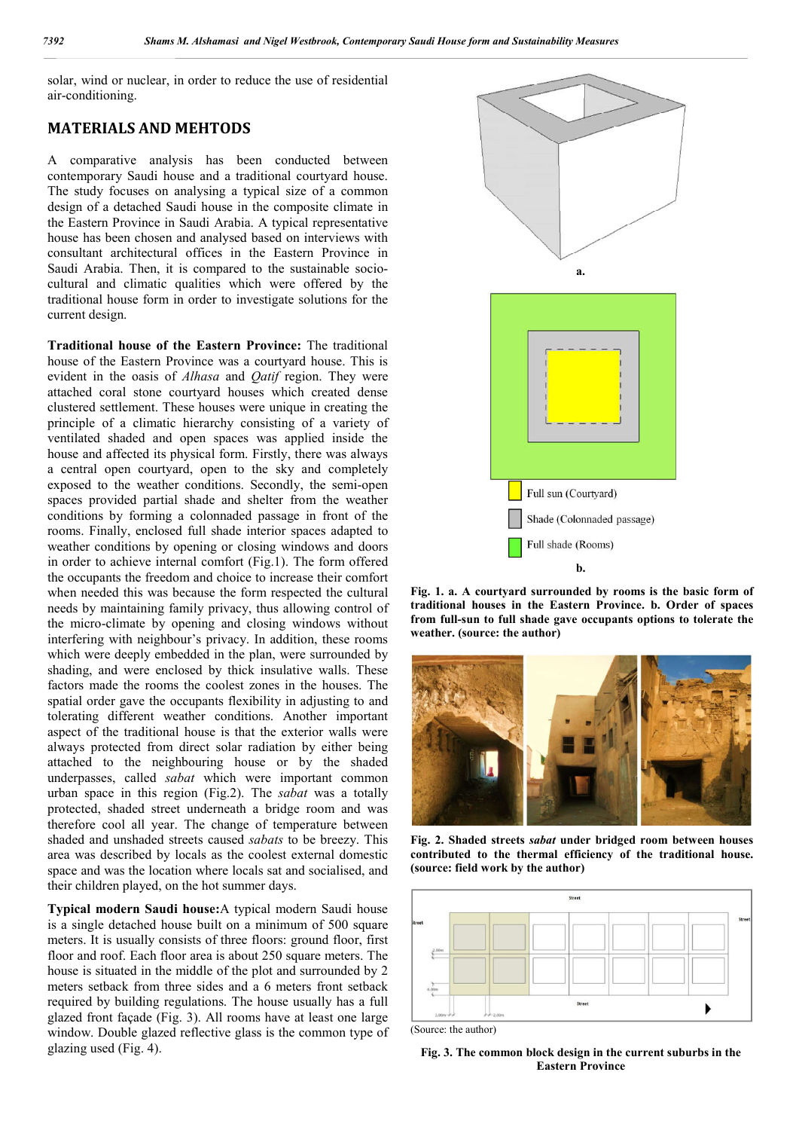solar, wind or nuclear, in order to reduce the use of residential air-conditioning.

## **MATERIALS AND MEHTODS**

A comparative analysis has been conducted between contemporary Saudi house and a traditional courtyard house. The study focuses on analysing a typical size of a common design of a detached Saudi house in the composite climate in the Eastern Province in Saudi Arabia. A typical representative house has been chosen and analysed based on interviews with consultant architectural offices in the Eastern Province in Saudi Arabia. Then, it is compared to the sustainable sociocultural and climatic qualities which were offered by the traditional house form in order to investigate solutions for the current design.

**Traditional house of the Eastern Province:** The traditional house of the Eastern Province was a courtyard house. This is evident in the oasis of *Alhasa* and *Qatif* region. They were attached coral stone courtyard houses which created dense clustered settlement. These houses were unique in creating the principle of a climatic hierarchy consisting of a variety of ventilated shaded and open spaces was applied inside the house and affected its physical form. Firstly, there was always a central open courtyard, open to the sky and completely exposed to the weather conditions. Secondly, the semi-open spaces provided partial shade and shelter from the weather conditions by forming a colonnaded passage in front of the rooms. Finally, enclosed full shade interior spaces adapted to weather conditions by opening or closing windows and doors in order to achieve internal comfort (Fig.1). The form offered the occupants the freedom and choice to increase their comfort when needed this was because the form respected the cultural needs by maintaining family privacy, thus allowing control of the micro-climate by opening and closing windows without interfering with neighbour's privacy. In addition, these rooms which were deeply embedded in the plan, were surrounded by shading, and were enclosed by thick insulative walls. These factors made the rooms the coolest zones in the houses. The spatial order gave the occupants flexibility in adjusting to and tolerating different weather conditions. Another important aspect of the traditional house is that the exterior walls were always protected from direct solar radiation by either being attached to the neighbouring house or by the shaded underpasses, called *sabat* which were important common urban space in this region (Fig.2). The *sabat* was a totally protected, shaded street underneath a bridge room and was therefore cool all year. The change of temperature between shaded and unshaded streets caused *sabats* to be breezy. This area was described by locals as the coolest external domestic space and was the location where locals sat and socialised, and their children played, on the hot summer days.

**Typical modern Saudi house:**A typical modern Saudi house is a single detached house built on a minimum of 500 square meters. It is usually consists of three floors: ground floor, first floor and roof. Each floor area is about 250 square meters. The house is situated in the middle of the plot and surrounded by 2 meters setback from three sides and a 6 meters front setback required by building regulations. The house usually has a full glazed front façade (Fig. 3). All rooms have at least one large window. Double glazed reflective glass is the common type of glazing used (Fig. 4).



**Fig. 1. a. A courtyard surrounded by rooms is the basic form of traditional houses in the Eastern Province. b. Order of spaces from full-sun to full shade gave occupants options to tolerate the weather. (source: the author)**



**Fig. 2. Shaded streets** *sabat* **under bridged room between houses contributed to the thermal efficiency of the traditional house. (source: field work by the author)**



(Source: the author)

**Fig. 3. The common block design in the current suburbs in the Eastern Province**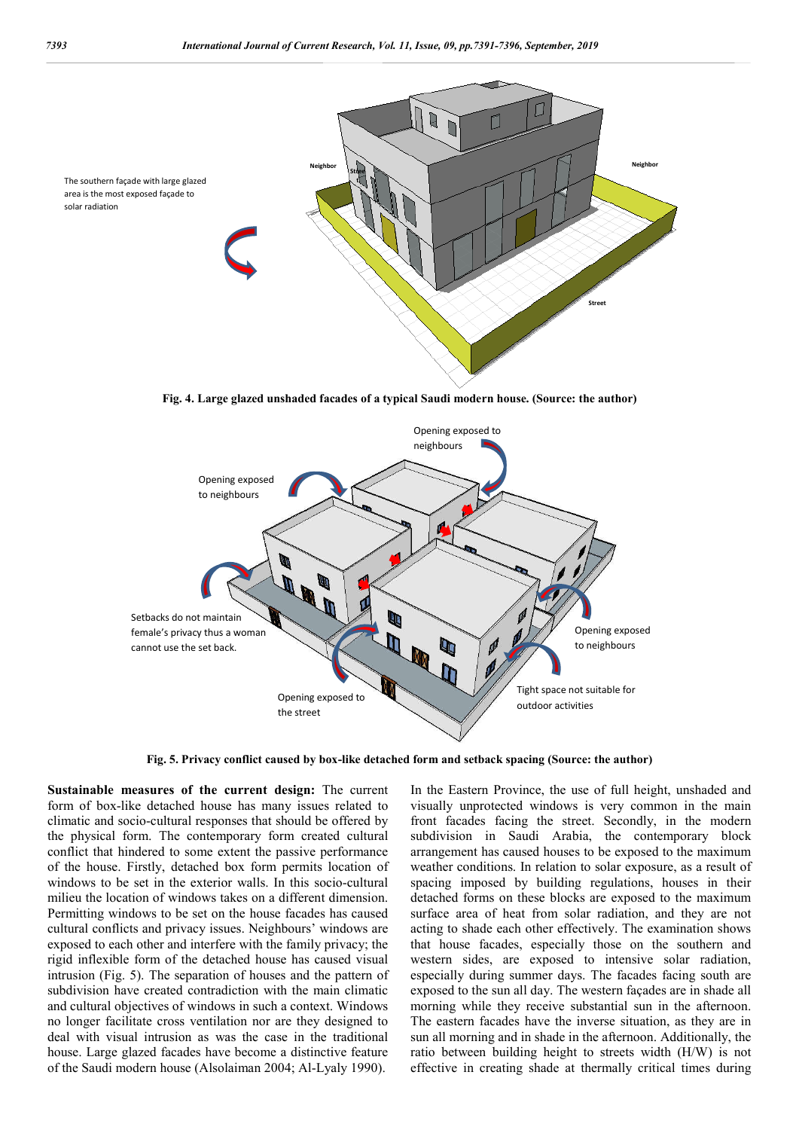

**Fig. 4. Large glazed unshaded facades of a typical Saudi modern house. (Source: the author)**



**Fig. 5. Privacy conflict caused by box-like detached form and setback spacing (Source: the author)**

**Sustainable measures of the current design:** The current form of box-like detached house has many issues related to climatic and socio-cultural responses that should be offered by the physical form. The contemporary form created cultural conflict that hindered to some extent the passive performance of the house. Firstly, detached box form permits location of windows to be set in the exterior walls. In this socio-cultural milieu the location of windows takes on a different dimension. Permitting windows to be set on the house facades has caused cultural conflicts and privacy issues. Neighbours' windows are exposed to each other and interfere with the family privacy; the rigid inflexible form of the detached house has caused visual intrusion (Fig. 5). The separation of houses and the pattern of subdivision have created contradiction with the main climatic and cultural objectives of windows in such a context. Windows no longer facilitate cross ventilation nor are they designed to deal with visual intrusion as was the case in the traditional house. Large glazed facades have become a distinctive feature of the Saudi modern house (Alsolaiman 2004; Al-Lyaly 1990).

In the Eastern Province, the use of full height, unshaded and visually unprotected windows is very common in the main front facades facing the street. Secondly, in the modern subdivision in Saudi Arabia, the contemporary block arrangement has caused houses to be exposed to the maximum weather conditions. In relation to solar exposure, as a result of spacing imposed by building regulations, houses in their detached forms on these blocks are exposed to the maximum surface area of heat from solar radiation, and they are not acting to shade each other effectively. The examination shows that house facades, especially those on the southern and western sides, are exposed to intensive solar radiation, especially during summer days. The facades facing south are exposed to the sun all day. The western façades are in shade all morning while they receive substantial sun in the afternoon. The eastern facades have the inverse situation, as they are in sun all morning and in shade in the afternoon. Additionally, the ratio between building height to streets width (H/W) is not effective in creating shade at thermally critical times during

solar radiation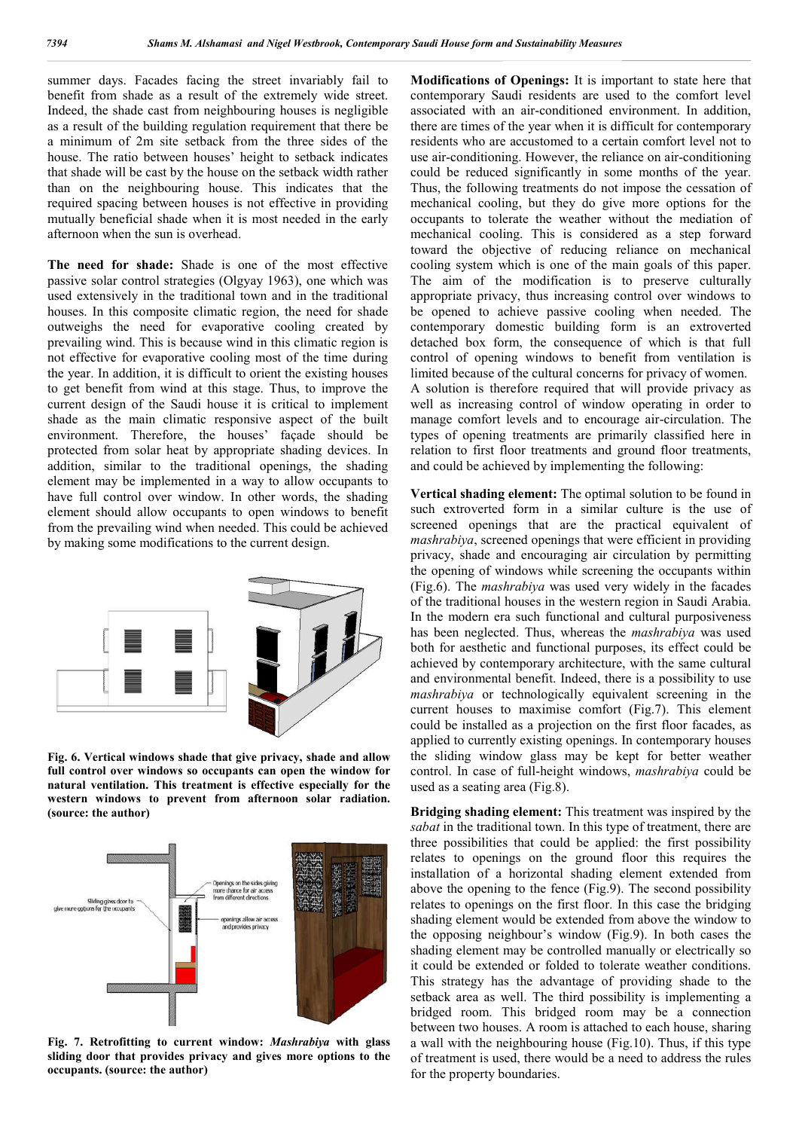summer days. Facades facing the street invariably fail to benefit from shade as a result of the extremely wide street. Indeed, the shade cast from neighbouring houses is negligible as a result of the building regulation requirement that there be a minimum of 2m site setback from the three sides of the house. The ratio between houses' height to setback indicates that shade will be cast by the house on the setback width rather than on the neighbouring house. This indicates that the required spacing between houses is not effective in providing mutually beneficial shade when it is most needed in the early afternoon when the sun is overhead.

**The need for shade:** Shade is one of the most effective passive solar control strategies (Olgyay 1963), one which was used extensively in the traditional town and in the traditional houses. In this composite climatic region, the need for shade outweighs the need for evaporative cooling created by prevailing wind. This is because wind in this climatic region is not effective for evaporative cooling most of the time during the year. In addition, it is difficult to orient the existing houses to get benefit from wind at this stage. Thus, to improve the current design of the Saudi house it is critical to implement shade as the main climatic responsive aspect of the built environment. Therefore, the houses' façade should be protected from solar heat by appropriate shading devices. In addition, similar to the traditional openings, the shading element may be implemented in a way to allow occupants to have full control over window. In other words, the shading element should allow occupants to open windows to benefit from the prevailing wind when needed. This could be achieved by making some modifications to the current design.



**Fig. 6. Vertical windows shade that give privacy, shade and allow full control over windows so occupants can open the window for natural ventilation. This treatment is effective especially for the western windows to prevent from afternoon solar radiation. (source: the author)**



**Fig. 7. Retrofitting to current window:** *Mashrabiya* **with glass sliding door that provides privacy and gives more options to the occupants. (source: the author)**

**Modifications of Openings:** It is important to state here that contemporary Saudi residents are used to the comfort level associated with an air-conditioned environment. In addition, there are times of the year when it is difficult for contemporary residents who are accustomed to a certain comfort level not to use air-conditioning. However, the reliance on air-conditioning could be reduced significantly in some months of the year. Thus, the following treatments do not impose the cessation of mechanical cooling, but they do give more options for the occupants to tolerate the weather without the mediation of mechanical cooling. This is considered as a step forward toward the objective of reducing reliance on mechanical cooling system which is one of the main goals of this paper. The aim of the modification is to preserve culturally appropriate privacy, thus increasing control over windows to be opened to achieve passive cooling when needed. The contemporary domestic building form is an extroverted detached box form, the consequence of which is that full control of opening windows to benefit from ventilation is limited because of the cultural concerns for privacy of women. A solution is therefore required that will provide privacy as well as increasing control of window operating in order to manage comfort levels and to encourage air-circulation. The types of opening treatments are primarily classified here in relation to first floor treatments and ground floor treatments, and could be achieved by implementing the following:

**Vertical shading element:** The optimal solution to be found in such extroverted form in a similar culture is the use of screened openings that are the practical equivalent of *mashrabiya*, screened openings that were efficient in providing privacy, shade and encouraging air circulation by permitting the opening of windows while screening the occupants within (Fig.6). The *mashrabiya* was used very widely in the facades of the traditional houses in the western region in Saudi Arabia. In the modern era such functional and cultural purposiveness has been neglected. Thus, whereas the *mashrabiya* was used both for aesthetic and functional purposes, its effect could be achieved by contemporary architecture, with the same cultural and environmental benefit. Indeed, there is a possibility to use *mashrabiya* or technologically equivalent screening in the current houses to maximise comfort (Fig.7). This element could be installed as a projection on the first floor facades, as applied to currently existing openings. In contemporary houses the sliding window glass may be kept for better weather control. In case of full-height windows, *mashrabiya* could be used as a seating area (Fig.8).

**Bridging shading element:** This treatment was inspired by the *sabat* in the traditional town. In this type of treatment, there are three possibilities that could be applied: the first possibility relates to openings on the ground floor this requires the installation of a horizontal shading element extended from above the opening to the fence (Fig.9). The second possibility relates to openings on the first floor. In this case the bridging shading element would be extended from above the window to the opposing neighbour's window (Fig.9). In both cases the shading element may be controlled manually or electrically so it could be extended or folded to tolerate weather conditions. This strategy has the advantage of providing shade to the setback area as well. The third possibility is implementing a bridged room. This bridged room may be a connection between two houses. A room is attached to each house, sharing a wall with the neighbouring house (Fig.10). Thus, if this type of treatment is used, there would be a need to address the rules for the property boundaries.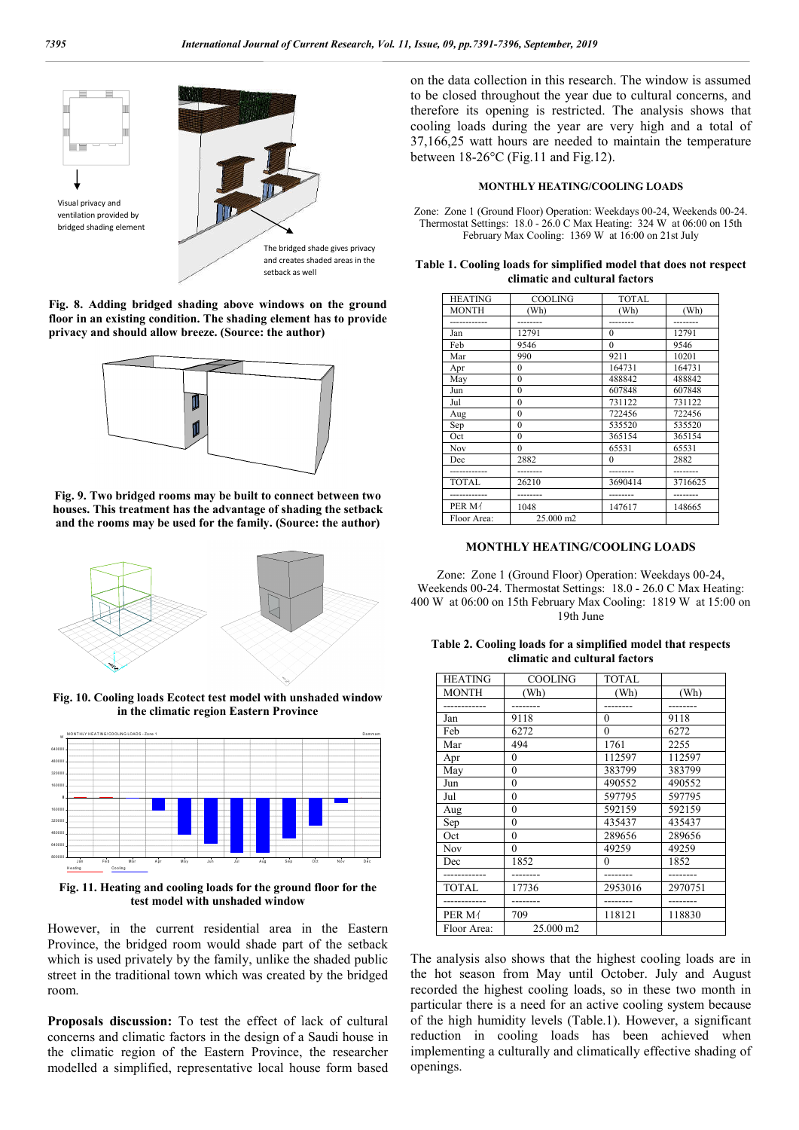

**Fig. 8. Adding bridged shading above windows on the ground floor in an existing condition. The shading element has to provide privacy and should allow breeze. (Source: the author)**



**Fig. 9. Two bridged rooms may be built to connect between two houses. This treatment has the advantage of shading the setback and the rooms may be used for the family. (Source: the author)**



**Fig. 10. Cooling loads Ecotect test model with unshaded window in the climatic region Eastern Province**



**Fig. 11. Heating and cooling loads for the ground floor for the test model with unshaded window**

However, in the current residential area in the Eastern Province, the bridged room would shade part of the setback which is used privately by the family, unlike the shaded public street in the traditional town which was created by the bridged room.

**Proposals discussion:** To test the effect of lack of cultural concerns and climatic factors in the design of a Saudi house in the climatic region of the Eastern Province, the researcher modelled a simplified, representative local house form based on the data collection in this research. The window is assumed to be closed throughout the year due to cultural concerns, and therefore its opening is restricted. The analysis shows that cooling loads during the year are very high and a total of 37,166,25 watt hours are needed to maintain the temperature between 18-26°C (Fig.11 and Fig.12).

#### **MONTHLY HEATING/COOLING LOADS**

Zone: Zone 1 (Ground Floor) Operation: Weekdays 00-24, Weekends 00-24. Thermostat Settings: 18.0 - 26.0 C Max Heating: 324 W at 06:00 on 15th February Max Cooling: 1369 W at 16:00 on 21st July

| Table 1. Cooling loads for simplified model that does not respect |  |
|-------------------------------------------------------------------|--|
| climatic and cultural factors                                     |  |

| <b>HEATING</b> | <b>COOLING</b> | <b>TOTAL</b> |         |
|----------------|----------------|--------------|---------|
| <b>MONTH</b>   | (Wh)           | (Wh)         | (Wh)    |
|                |                |              |         |
| Jan            | 12791          | $\theta$     | 12791   |
| Feb            | 9546           | $\theta$     | 9546    |
| Mar            | 990            | 9211         | 10201   |
| Apr            | $\theta$       | 164731       | 164731  |
| May            | $\theta$       | 488842       | 488842  |
| Jun            | $\bf{0}$       | 607848       | 607848  |
| Jul            | $\theta$       | 731122       | 731122  |
| Aug            | $\theta$       | 722456       | 722456  |
| Sep            | $\theta$       | 535520       | 535520  |
| Oct            | $\theta$       | 365154       | 365154  |
| Nov            | $\theta$       | 65531        | 65531   |
| Dec            | 2882           | $\theta$     | 2882    |
|                |                |              |         |
| <b>TOTAL</b>   | 26210          | 3690414      | 3716625 |
|                |                |              |         |
| PER M/         | 1048           | 147617       | 148665  |
| Floor Area:    | 25,000 m2      |              |         |

### **MONTHLY HEATING/COOLING LOADS**

Zone: Zone 1 (Ground Floor) Operation: Weekdays 00-24, Weekends 00-24. Thermostat Settings: 18.0 - 26.0 C Max Heating: 400 W at 06:00 on 15th February Max Cooling: 1819 W at 15:00 on 19th June

| Table 2. Cooling loads for a simplified model that respects |  |
|-------------------------------------------------------------|--|
| climatic and cultural factors                               |  |

| <b>HEATING</b> | <b>COOLING</b> | <b>TOTAL</b>     |         |
|----------------|----------------|------------------|---------|
| <b>MONTH</b>   | (Wh)           | (Wh)             | (Wh)    |
|                |                |                  |         |
| Jan            | 9118           | $\boldsymbol{0}$ | 9118    |
| Feb            | 6272           | $\mathbf{0}$     | 6272    |
| Mar            | 494            | 1761             | 2255    |
| Apr            | $\mathbf{0}$   | 112597           | 112597  |
| May            | $\mathbf{0}$   | 383799           | 383799  |
| Jun            | $\theta$       | 490552           | 490552  |
| Jul            | $\mathbf{0}$   | 597795           | 597795  |
| Aug            | $\mathbf{0}$   | 592159           | 592159  |
| Sep            | $\theta$       | 435437           | 435437  |
| Oct            | $\theta$       | 289656           | 289656  |
| Nov            | $\mathbf{0}$   | 49259            | 49259   |
| Dec            | 1852           | $\boldsymbol{0}$ | 1852    |
|                |                |                  |         |
| <b>TOTAL</b>   | 17736          | 2953016          | 2970751 |
|                |                |                  |         |
| PER M/         | 709            | 118121           | 118830  |
| Floor Area:    | 25,000 m2      |                  |         |

The analysis also shows that the highest cooling loads are in the hot season from May until October. July and August recorded the highest cooling loads, so in these two month in particular there is a need for an active cooling system because of the high humidity levels (Table.1). However, a significant reduction in cooling loads has been achieved when implementing a culturally and climatically effective shading of openings.